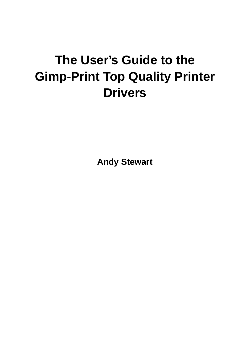# **The User's Guide to the Gimp-Print Top Quality Printer Drivers**

**Andy Stewart**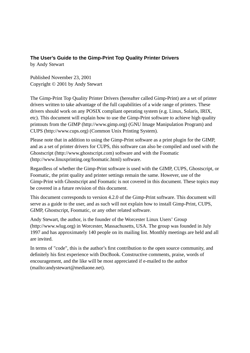#### **The User's Guide to the Gimp-Print Top Quality Printer Drivers**

by Andy Stewart

Published November 23, 2001 Copyright © 2001 by Andy Stewart

The Gimp-Print Top Quality Printer Drivers (hereafter called Gimp-Print) are a set of printer drivers written to take advantage of the full capabilities of a wide range of printers. These drivers should work on any POSIX compliant operating system (e.g. Linux, Solaris, IRIX, etc). This document will explain how to use the Gimp-Print software to achieve high quality printouts from the GIMP (http://www.gimp.org) (GNU Image Manipulation Program) and CUPS (http://www.cups.org) (Common Unix Printing System).

Please note that in addition to using the Gimp-Print software as a print plugin for the GIMP, and as a set of printer drivers for CUPS, this software can also be compiled and used with the Ghostscript (http://www.ghostscript.com) software and with the Foomatic (http://www.linuxprinting.org/foomatic.html) software.

Regardless of whether the Gimp-Print software is used with the GIMP, CUPS, Ghostscript, or Foomatic, the print quality and printer settings remain the same. However, use of the Gimp-Print with Ghostscript and Foomatic is not covered in this document. These topics may be covered in a future revision of this document.

This document corresponds to version 4.2.0 of the Gimp-Print software. This document will serve as a guide to the user, and as such will not explain how to install Gimp-Print, CUPS, GIMP, Ghostscript, Foomatic, or any other related software.

Andy Stewart, the author, is the founder of the Worcester Linux Users' Group (http://www.wlug.org) in Worcester, Massachusetts, USA. The group was founded in July 1997 and has approximately 140 people on its mailing list. Monthly meetings are held and all are invited.

In terms of "code", this is the author's first contribution to the open source community, and definitely his first experience with DocBook. Constructive comments, praise, words of encouragement, and the like will be most appreciated if e-mailed to the author (mailto:andystewart@mediaone.net).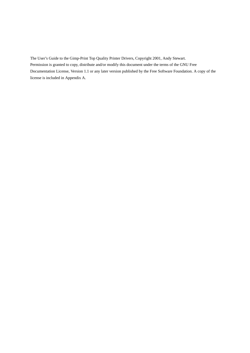The User's Guide to the Gimp-Print Top Quality Printer Drivers, Copyright 2001, Andy Stewart. Permission is granted to copy, distribute and/or modify this document under the terms of the GNU Free Documentation License, Version 1.1 or any later version published by the Free Software Foundation. A copy of the license is included in [Appendix A.](#page-35-0)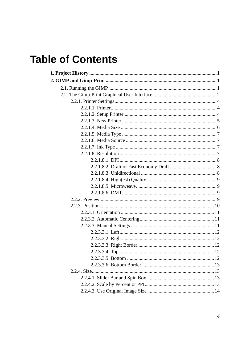# **Table of Contents**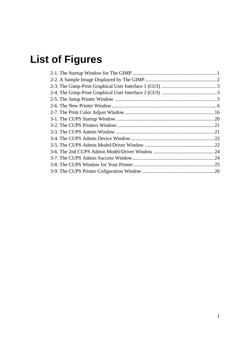# **List of Figures**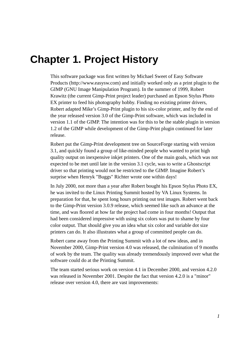# <span id="page-6-0"></span>**Chapter 1. Project History**

This software package was first written by Michael Sweet of Easy Software Products (http://www.easysw.com) and initially worked only as a print plugin to the GIMP (GNU Image Manipulation Program). In the summer of 1999, Robert Krawitz (the current Gimp-Print project leader) purchased an Epson Stylus Photo EX printer to feed his photography hobby. Finding no existing printer drivers, Robert adapted Mike's Gimp-Print plugin to his six-color printer, and by the end of the year released version 3.0 of the Gimp-Print software, which was included in version 1.1 of the GIMP. The intention was for this to be the stable plugin in version 1.2 of the GIMP while development of the Gimp-Print plugin continued for later release.

Robert put the Gimp-Print development tree on SourceForge starting with version 3.1, and quickly found a group of like-minded people who wanted to print high quality output on inexpensive inkjet printers. One of the main goals, which was not expected to be met until late in the version 3.1 cycle, was to write a Ghostscript driver so that printing would not be restricted to the GIMP. Imagine Robert's surprise when Henryk "Buggs" Richter wrote one within days!

In July 2000, not more than a year after Robert bought his Epson Stylus Photo EX, he was invited to the Linux Printing Summit hosted by VA Linux Systems. In preparation for that, he spent long hours printing out test images. Robert went back to the Gimp-Print version 3.0.9 release, which seemed like such an advance at the time, and was floored at how far the project had come in four months! Output that had been considered impressive with using six colors was put to shame by four color output. That should give you an idea what six color and variable dot size printers can do. It also illustrates what a group of committed people can do.

Robert came away from the Printing Summit with a lot of new ideas, and in November 2000, Gimp-Print version 4.0 was released, the culmination of 9 months of work by the team. The quality was already tremendously improved over what the software could do at the Printing Summit.

The team started serious work on version 4.1 in December 2000, and version 4.2.0 was released in November 2001. Despite the fact that version 4.2.0 is a "minor" release over version 4.0, there are vast improvements: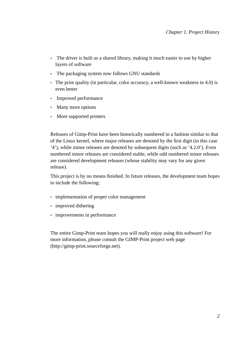- The driver is built as a shared library, making it much easier to use by higher layers of software
- The packaging system now follows GNU standards
- The print quality (in particular, color accuracy, a well-known weakness in 4.0) is even better
- Improved performance
- Many more options
- More supported printers

Releases of Gimp-Print have been historically numbered in a fashion similar to that of the Linux kernel, where major releases are denoted by the first digit (in this case '4'), while minor releases are denoted by subsequent digits (such as '4.2.0'). Even numbered minor releases are considered stable, while odd numbered minor releases are considered development releases (whose stability may vary for any given release).

This project is by no means finished. In future releases, the development team hopes to include the following:

- implementation of proper color management
- improved dithering
- improvements in performance

The entire Gimp-Print team hopes you will really enjoy using this software! For more information, please consult the GIMP-Print project web page (http://gimp-print.sourceforge.net).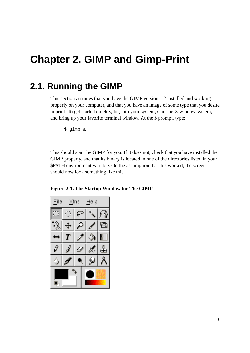# <span id="page-8-0"></span>**Chapter 2. GIMP and Gimp-Print**

### <span id="page-8-1"></span>**2.1. Running the GIMP**

This section assumes that you have the GIMP version 1.2 installed and working properly on your computer, and that you have an image of some type that you desire to print. To get started quickly, log into your system, start the X window system, and bring up your favorite terminal window. At the \$ prompt, type:

<span id="page-8-2"></span>\$ gimp &

This should start the GIMP for you. If it does not, check that you have installed the GIMP properly, and that its binary is located in one of the directories listed in your \$PATH environment variable. On the assumption that this worked, the screen should now look something like this:



**Figure 2-1. The Startup Window for The GIMP**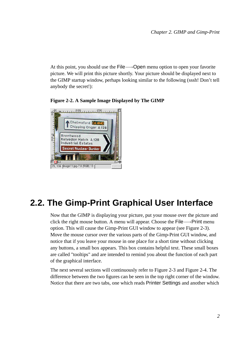At this point, you should use the File→Open menu option to open your favorite picture. We will print this picture shortly. Your picture should be displayed next to the GIMP startup window, perhaps looking similar to the following (sssh! Don't tell anybody the secret!):



#### <span id="page-9-1"></span>**Figure 2-2. A Sample Image Displayed by The GIMP**

# <span id="page-9-0"></span>**2.2. The Gimp-Print Graphical User Interface**

Now that the GIMP is displaying your picture, put your mouse over the picture and click the right mouse button. A menu will appear. Choose the File−→Print menu option. This will cause the Gimp-Print GUI window to appear (see [Figure 2-3](#page-10-0)). Move the mouse cursor over the various parts of the Gimp-Print GUI window, and notice that if you leave your mouse in one place for a short time without clicking any buttons, a small box appears. This box contains helpful text. These small boxes are called "tooltips" and are intended to remind you about the function of each part of the graphical interface.

The next several sections will continuously refer to [Figure 2-3](#page-10-0) and [Figure 2-4](#page-10-1). The difference between the two figures can be seen in the top right corner of the window. Notice that there are two tabs, one which reads Printer Settings and another which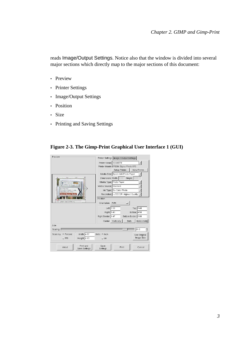reads Image/Output Settings. Notice also that the window is divided into several major sections which directly map to the major sections of this document:

- Preview
- Printer Settings
- Image/Output Settings
- Position
- Size
- Printing and Saving Settings

#### <span id="page-10-0"></span>**Figure 2-3. The Gimp-Print Graphical User Interface 1 (GUI)**

<span id="page-10-1"></span>

| Preview<br>a terra a 14 era a mar Etherana i<br>Chein stord MAGE<br>Chipping Origin 4 124<br>Brontwond<br>vedon Hatch A 198<br><b>LEstates</b><br>sret Naslear Bunka<br>Becker of the creative<br>☆ 四 | Printer Settings   Image / Output Settings<br>Printer Name: epson870<br>$\sqrt{2}$<br>Printer Model: EPSON Stylus Photo 870<br>New Printer<br>Setup Printer<br>Media Size: Epson 4x6 Photo Paper<br>Height: 6.88<br>Dimensions: Width: 4.50<br>Media Type: Photo Paper<br>Media Source: Standard<br>Ink Type: Six Color Photo<br>Resolution: $\mathfrak{b} \times 720$ DPI Highest Quality<br>Position<br>Orientation: Auto<br>Top: 0.40<br>Left: $0.58$ |
|-------------------------------------------------------------------------------------------------------------------------------------------------------------------------------------------------------|----------------------------------------------------------------------------------------------------------------------------------------------------------------------------------------------------------------------------------------------------------------------------------------------------------------------------------------------------------------------------------------------------------------------------------------------------------|
|                                                                                                                                                                                                       | Right: 5.40<br>Bottom: 4.50                                                                                                                                                                                                                                                                                                                                                                                                                              |
|                                                                                                                                                                                                       | Right Border: 1.47<br>Bottom Border: 0.00                                                                                                                                                                                                                                                                                                                                                                                                                |
|                                                                                                                                                                                                       | Horizontally<br>Center: Vertically<br>Both                                                                                                                                                                                                                                                                                                                                                                                                               |
| Size                                                                                                                                                                                                  |                                                                                                                                                                                                                                                                                                                                                                                                                                                          |
| Scaling: [                                                                                                                                                                                            | 91.0                                                                                                                                                                                                                                                                                                                                                                                                                                                     |
| Width: 4.82<br>Scale by: $\leftrightarrow$ Percent<br>Height: 4.10<br>$\leftrightarrow$ PPI                                                                                                           | Units: $\triangle$ Inch<br>Use Original<br>Image Size<br>$\leftrightarrow$ cm                                                                                                                                                                                                                                                                                                                                                                            |
| Print and<br>About<br>Save Settings                                                                                                                                                                   | Save<br>Print<br>Cancel<br>Settings                                                                                                                                                                                                                                                                                                                                                                                                                      |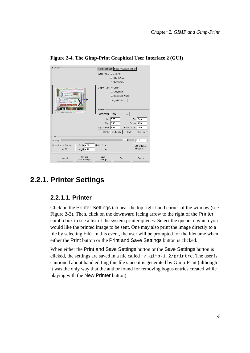| Preview                                                                                                                | Printer Settings   Image / Output Settings        |
|------------------------------------------------------------------------------------------------------------------------|---------------------------------------------------|
|                                                                                                                        | Image Type: Line Art                              |
|                                                                                                                        | ↓ Solid Colors                                    |
|                                                                                                                        | ← Photograph                                      |
| <b>Contact Contact Contact Contact Contact Contact Contact Contact Contact Contact Contact Contact Contact Contact</b> | Output Type: A Color                              |
| <b>Chelmstons Middle</b>                                                                                               | Grayscale                                         |
| Chicarna Origin: A 124                                                                                                 | Black and White                                   |
| drontwond.<br>Kelvedon Hatch A 128<br>trial Estates                                                                    | Adjust Output                                     |
| veret Nuclear Bunks                                                                                                    |                                                   |
| <b>DAMASTA (D) C.S. (NORT 10)</b><br>0.0                                                                               | Position                                          |
|                                                                                                                        | Orientation: Auto                                 |
|                                                                                                                        | Top: 0.40<br>Left: 0.58                           |
|                                                                                                                        | Right: 5.40<br>Bottom: 4.50                       |
|                                                                                                                        | Right Border: 1.47<br>Bottom Border: 0.00         |
|                                                                                                                        | Center: Vertically<br>Horizontally<br><b>Both</b> |
| Size                                                                                                                   |                                                   |
| Scaling:                                                                                                               | $\rightarrow$<br>91.0                             |
| Width: 4.82<br>Scale by: $\triangle$ Percent                                                                           | Units: < Inch<br>Use Original                     |
| Height: 4.10<br>$\downarrow$ PPI                                                                                       | Image Size<br>$\leftrightarrow$ cm                |
| Print and<br>About<br>Save Settings                                                                                    | Save<br>Print<br>Cancel<br>Settings               |

**Figure 2-4. The Gimp-Print Graphical User Interface 2 (GUI)**

### <span id="page-11-1"></span><span id="page-11-0"></span>**2.2.1. Printer Settings**

#### **2.2.1.1. Printer**

Click on the Printer Settings tab near the top right hand corner of the window (see [Figure 2-3\)](#page-10-0). Then, click on the downward facing arrow to the right of the Printer combo box to see a list of the system printer queues. Select the queue to which you would like the printed image to be sent. One may also print the image directly to a file by selecting File. In this event, the user will be prompted for the filename when either the Print button or the Print and Save Settings button is clicked.

<span id="page-11-2"></span>When either the Print and Save Settings button or the Save Settings button is clicked, the settings are saved in a file called  $\sim/$ .gimp-1.2/printrc. The user is cautioned about hand editing this file since it is generated by Gimp-Print (although it was the only way that the author found for removing bogus entries created while playing with the New Printer button).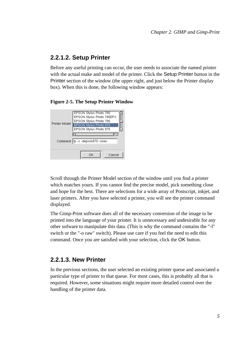#### **2.2.1.2. Setup Printer**

Before any useful printing can occur, the user needs to associate the named printer with the actual make and model of the printer. Click the Setup Printer button in the Printer section of the window (the upper right, and just below the Printer display box). When this is done, the following window appears:

#### <span id="page-12-1"></span>**Figure 2-5. The Setup Printer Window**



Scroll through the Printer Model section of the window until you find a printer which matches yours. If you cannot find the precise model, pick something close and hope for the best. There are selections for a wide array of Postscript, inkjet, and laser printers. After you have selected a printer, you will see the printer command displayed.

The Gimp-Print software does all of the necessary conversion of the image to be printed into the language of your printer. It is unnecessary and undesirable for any other sofware to manipulate this data. (This is why the command contains the "-l" switch or the "-o raw" switch). Please use care if you feel the need to edit this command. Once you are satisfied with your selection, click the OK button.

#### <span id="page-12-0"></span>**2.2.1.3. New Printer**

In the previous sections, the user selected an existing printer queue and associated a particular type of printer to that queue. For most cases, this is probably all that is required. However, some situations might require more detailed control over the handling of the printer data.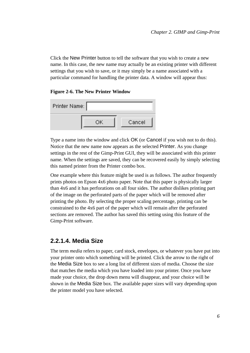Click the New Printer button to tell the software that you wish to create a new name. In this case, the new name may actually be an existing printer with different settings that you wish to save, or it may simply be a name associated with a particular command for handling the printer data. A window will appear thus:

#### <span id="page-13-1"></span>**Figure 2-6. The New Printer Window**

| Printer Name: |  |        |
|---------------|--|--------|
|               |  | Cancel |

Type a name into the window and click OK (or Cancel if you wish not to do this). Notice that the new name now appears as the selected Printer. As you change settings in the rest of the Gimp-Print GUI, they will be associated with this printer name. When the settings are saved, they can be recovered easily by simply selecting this named printer from the Printer combo box.

One example where this feature might be used is as follows. The author frequently prints photos on Epson 4x6 photo paper. Note that this paper is physically larger than 4x6 and it has perforations on all four sides. The author dislikes printing part of the image on the perforated parts of the paper which will be removed after printing the photo. By selecting the proper scaling percentage, printing can be constrained to the 4x6 part of the paper which will remain after the perforated sections are removed. The author has saved this setting using this feature of the Gimp-Print software.

#### <span id="page-13-0"></span>**2.2.1.4. Media Size**

The term *media* refers to paper, card stock, envelopes, or whatever you have put into your printer onto which something will be printed. Click the arrow to the right of the Media Size box to see a long list of different sizes of media. Choose the size that matches the media which you have loaded into your printer. Once you have made your choice, the drop down menu will disappear, and your choice will be shown in the Media Size box. The available paper sizes will vary depending upon the printer model you have selected.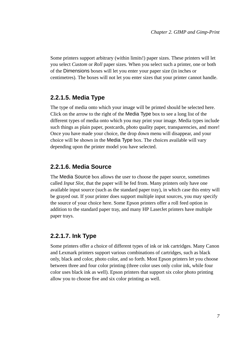Some printers support arbitrary (within limits!) paper sizes. These printers will let you select *Custom* or *Roll* paper sizes. When you select such a printer, one or both of the Dimensions boxes will let you enter your paper size (in inches or centimetres). The boxes will not let you enter sizes that your printer cannot handle.

#### <span id="page-14-0"></span>**2.2.1.5. Media Type**

The type of media onto which your image will be printed should be selected here. Click on the arrow to the right of the Media Type box to see a long list of the different types of media onto which you may print your image. Media types include such things as plain paper, postcards, photo quality paper, transparencies, and more! Once you have made your choice, the drop down menu will disappear, and your choice will be shown in the Media Type box. The choices available will vary depending upon the printer model you have selected.

#### <span id="page-14-1"></span>**2.2.1.6. Media Source**

The Media Source box allows the user to choose the paper source, sometimes called *Input Slot*, that the paper will be fed from. Many printers only have one available input source (such as the standard paper tray), in which case this entry will be grayed out. If your printer does support multiple input sources, you may specify the source of your choice here. Some Epson printers offer a roll feed option in addition to the standard paper tray, and many HP LaserJet printers have multiple paper trays.

#### <span id="page-14-2"></span>**2.2.1.7. Ink Type**

<span id="page-14-3"></span>Some printers offer a choice of different types of ink or ink cartridges. Many Canon and Lexmark printers support various combinations of cartridges, such as black only, black and color, photo color, and so forth. Most Epson printers let you choose between three and four color printing (three color uses only color ink, while four color uses black ink as well). Epson printers that support six color photo printing allow you to choose five and six color printing as well.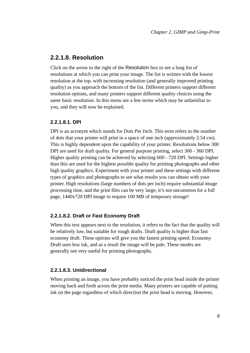#### **2.2.1.8. Resolution**

Click on the arrow to the right of the Resolution box to see a long list of resolutions at which you can print your image. The list is written with the lowest resolution at the top, with increasing resolution (and generally improved printing quality) as you approach the bottom of the list. Different printers support different resolution options, and many printers support different quality choices using the same basic resolution. In this menu are a few terms which may be unfamiliar to you, and they will now be explained.

#### <span id="page-15-0"></span>**2.2.1.8.1. DPI**

DPI is an acronym which stands for *D*ots *P*er *I*nch. This term refers to the number of dots that your printer will print in a space of one inch (approximately 2.54 cm). This is highly dependent upon the capability of your printer. Resolutions below 300 DPI are used for draft quality. For general purpose printing, select 300 - 360 DPI. Higher quality printing can be achieved by selecting 600 - 720 DPI. Settings higher than this are used for the highest possible quality for printing photographs and other high quality graphics. Experiment with your printer and these settings with different types of graphics and photographs to see what results you can obtain with your printer. High resolutions (large numbers of dots per inch) require substantial image processing time, and the print files can be very large; it's not uncommon for a full page, 1440x720 DPI image to require 100 MB of temporary storage!

#### <span id="page-15-1"></span>**2.2.1.8.2. Draft or Fast Economy Draft**

When this text appears next to the resolution, it refers to the fact that the quality will be relatively low, but suitable for rough drafts. Draft quality is higher than fast economy draft. These options will give you the fastest printing speed. Economy Draft uses less ink, and as a result the image will be pale. These modes are generally not very useful for printing photographs.

#### <span id="page-15-2"></span>**2.2.1.8.3. Unidirectional**

When printing an image, you have probably noticed the print head inside the printer moving back and forth across the print media. Many printers are capable of putting ink on the page regardless of which direction the print head is moving. However,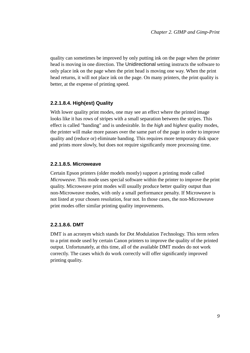quality can sometimes be improved by only putting ink on the page when the printer head is moving in one direction. The Unidirectional setting instructs the software to only place ink on the page when the print head is moving one way. When the print head returns, it will not place ink on the page. On many printers, the print quality is better, at the expense of printing speed.

#### <span id="page-16-0"></span>**2.2.1.8.4. High(est) Quality**

With lower quality print modes, one may see an effect where the printed image looks like it has rows of stripes with a small separation between the stripes. This effect is called "banding" and is undesirable. In the *high* and *highest* quality modes, the printer will make more passes over the same part of the page in order to improve quality and (reduce or) eliminate banding. This requires more temporary disk space and prints more slowly, but does not require significantly more processing time.

#### <span id="page-16-1"></span>**2.2.1.8.5. Microweave**

Certain Epson printers (older models mostly) support a printing mode called *Microweave*. This mode uses special software within the printer to improve the print quality. Microweave print modes will usually produce better quality output than non-Microweave modes, with only a small performance penalty. If Microweave is not listed at your chosen resolution, fear not. In those cases, the non-Microweave print modes offer similar printing quality improvements.

#### <span id="page-16-2"></span>**2.2.1.8.6. DMT**

<span id="page-16-3"></span>DMT is an acronym which stands for *D*ot *M*odulation *T*echnology. This term refers to a print mode used by certain Canon printers to improve the quality of the printed output. Unfortunately, at this time, all of the available DMT modes do not work correctly. The cases which do work correctly will offer significantly improved printing quality.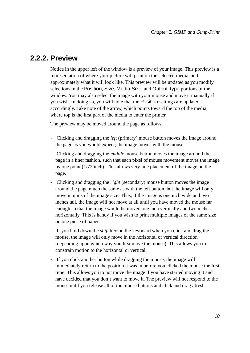### **2.2.2. Preview**

Notice in the upper left of the window is a preview of your image. This preview is a representation of where your picture will print on the selected media, and approximately what it will look like. This preview will be updated as you modify selections in the Position, Size, Media Size, and Output Type portions of the window. You may also select the image with your mouse and move it manually if you wish. In doing so, you will note that the Position settings are updated accordingly. Take note of the arrow, which points toward the top of the media, where top is the first part of the media to enter the printer.

The preview may be moved around the page as follows:

- Clicking and dragging the *left* (primary) mouse button moves the image around the page as you would expect; the image moves with the mouse.
- Clicking and dragging the *middle* mouse button moves the image around the page in a finer fashion, such that each pixel of mouse movement moves the image by one point (1/72 inch). This allows very fine placement of the image on the page.
- Clicking and dragging the *right* (secondary) mouse button moves the image around the page much the same as with the left button, but the image will only move in units of the image size. Thus, if the image is one inch wide and two inches tall, the image will not move at all until you have moved the mouse far enough so that the image would be moved one inch vertically and two inches horizontally. This is handy if you wish to print multiple images of the same size on one piece of paper.
- If you hold down the *shift* key on the keyboard when you click and drag the mouse, the image will only move in the horizontal or vertical direction (depending upon which way you first move the mouse). This allows you to constrain motion to the horizontal or vertical.
- <span id="page-17-0"></span>• If you click another button while dragging the mouse, the image will immediately return to the position it was in before you clicked the mouse the first time. This allows you to not move the image if you have started moving it and have decided that you don't want to move it. The preview will not respond to the mouse until you release all of the mouse buttons and click and drag afresh.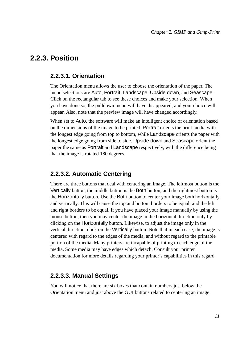### <span id="page-18-0"></span>**2.2.3. Position**

#### **2.2.3.1. Orientation**

The Orientation menu allows the user to choose the orientation of the paper. The menu selections are Auto, Portrait, Landscape, Upside down, and Seascape. Click on the rectangular tab to see these choices and make your selection. When you have done so, the pulldown menu will have disappeared, and your choice will appear. Also, note that the preview image will have changed accordingly.

When set to Auto, the software will make an intelligent choice of orientation based on the dimensions of the image to be printed. Portrait orients the print media with the longest edge going from top to bottom, while Landscape orients the paper with the longest edge going from side to side. Upside down and Seascape orient the paper the same as Portrait and Landscape respectively, with the difference being that the image is rotated 180 degrees.

#### <span id="page-18-1"></span>**2.2.3.2. Automatic Centering**

There are three buttons that deal with centering an image. The leftmost button is the Vertically button, the middle button is the Both button, and the rightmost button is the Horizontally button. Use the Both button to center your image both horizontally and vertically. This will cause the top and bottom borders to be equal, and the left and right borders to be equal. If you have placed your image manually by using the mouse button, then you may center the image in the horizontal direction only by clicking on the Horizontally button. Likewise, to adjust the image only in the vertical direction, click on the Vertically button. Note that in each case, the image is centered with regard to the edges of the media, and without regard to the printable portion of the media. Many printers are incapable of printing to each edge of the media. Some media may have edges which detach. Consult your printer documentation for more details regarding your printer's capabilities in this regard.

#### <span id="page-18-2"></span>**2.2.3.3. Manual Settings**

You will notice that there are six boxes that contain numbers just below the Orientation menu and just above the GUI buttons related to centering an image.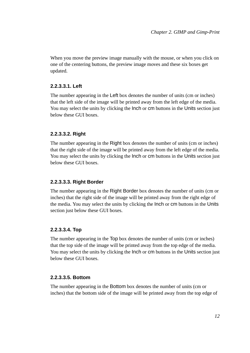When you move the preview image manually with the mouse, or when you click on one of the centering buttons, the preview image moves and these six boxes get updated.

#### <span id="page-19-0"></span>**2.2.3.3.1. Left**

The number appearing in the Left box denotes the number of units (cm or inches) that the left side of the image will be printed away from the left edge of the media. You may select the units by clicking the Inch or cm buttons in the Units section just below these GUI boxes.

#### <span id="page-19-1"></span>**2.2.3.3.2. Right**

The number appearing in the Right box denotes the number of units (cm or inches) that the right side of the image will be printed away from the left edge of the media. You may select the units by clicking the Inch or cm buttons in the Units section just below these GUI boxes.

#### <span id="page-19-2"></span>**2.2.3.3.3. Right Border**

The number appearing in the Right Border box denotes the number of units (cm or inches) that the right side of the image will be printed away from the right edge of the media. You may select the units by clicking the Inch or cm buttons in the Units section just below these GUI boxes.

#### <span id="page-19-3"></span>**2.2.3.3.4. Top**

The number appearing in the Top box denotes the number of units (cm or inches) that the top side of the image will be printed away from the top edge of the media. You may select the units by clicking the Inch or cm buttons in the Units section just below these GUI boxes.

#### <span id="page-19-4"></span>**2.2.3.3.5. Bottom**

The number appearing in the Bottom box denotes the number of units (cm or inches) that the bottom side of the image will be printed away from the top edge of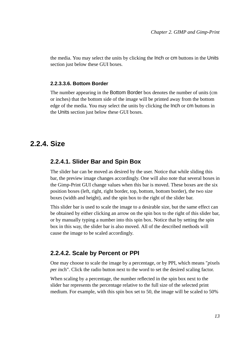the media. You may select the units by clicking the Inch or cm buttons in the Units section just below these GUI boxes.

#### <span id="page-20-0"></span>**2.2.3.3.6. Bottom Border**

The number appearing in the Bottom Border box denotes the number of units (cm or inches) that the bottom side of the image will be printed away from the bottom edge of the media. You may select the units by clicking the Inch or cm buttons in the Units section just below these GUI boxes.

### <span id="page-20-2"></span><span id="page-20-1"></span>**2.2.4. Size**

#### **2.2.4.1. Slider Bar and Spin Box**

The slider bar can be moved as desired by the user. Notice that while sliding this bar, the preview image changes accordingly. One will also note that several boxes in the Gimp-Print GUI change values when this bar is moved. These boxes are the six position boxes (left, right, right border, top, bottom, bottom border), the two size boxes (width and height), and the spin box to the right of the slider bar.

This slider bar is used to scale the image to a desirable size, but the same effect can be obtained by either clicking an arrow on the spin box to the right of this slider bar, or by manually typing a number into this spin box. Notice that by setting the spin box in this way, the slider bar is also moved. All of the described methods will cause the image to be scaled accordingly.

#### <span id="page-20-3"></span>**2.2.4.2. Scale by Percent or PPI**

One may choose to scale the image by a percentage, or by PPI, which means "*p*ixels *p*er *i*nch". Click the radio button next to the word to set the desired scaling factor.

When scaling by a percentage, the number reflected in the spin box next to the slider bar represents the percentage relative to the full size of the selected print medium. For example, with this spin box set to 50, the image will be scaled to 50%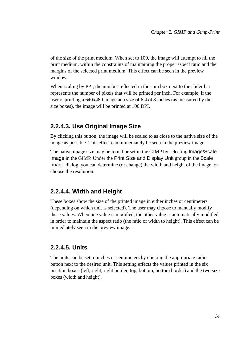of the size of the print medium. When set to 100, the image will attempt to fill the print medium, within the constraints of maintaining the proper aspect ratio and the margins of the selected print medium. This effect can be seen in the preview window.

When scaling by PPI, the number reflected in the spin box next to the slider bar represents the number of pixels that will be printed per inch. For example, if the user is printing a 640x480 image at a size of 6.4x4.8 inches (as measured by the size boxes), the image will be printed at 100 DPI.

#### <span id="page-21-0"></span>**2.2.4.3. Use Original Image Size**

By clicking this button, the image will be scaled to as close to the native size of the image as possible. This effect can immediately be seen in the preview image.

The native image size may be found or set in the GIMP by selecting Image/Scale Image in the GIMP. Under the Print Size and Display Unit group in the Scale Image dialog, you can determine (or change) the width and height of the image, or choose the resolution.

#### <span id="page-21-1"></span>**2.2.4.4. Width and Height**

These boxes show the size of the printed image in either inches or centimeters (depending on which unit is selected). The user may choose to manually modify these values. When one value is modified, the other value is automatically modified in order to maintain the aspect ratio (the ratio of width to height). This effect can be immediately seen in the preview image.

#### <span id="page-21-2"></span>**2.2.4.5. Units**

<span id="page-21-3"></span>The units can be set to inches or centimeters by clicking the appropriate radio button next to the desired unit. This setting effects the values printed in the six position boxes (left, right, right border, top, bottom, bottom border) and the two size boxes (width and height).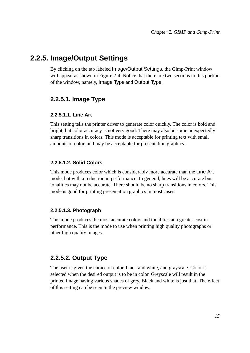### **2.2.5. Image/Output Settings**

By clicking on the tab labeled Image/Output Settings, the Gimp-Print window will appear as shown in [Figure 2-4](#page-10-1). Notice that there are two sections to this portion of the window, namely, Image Type and Output Type.

#### <span id="page-22-1"></span><span id="page-22-0"></span>**2.2.5.1. Image Type**

#### **2.2.5.1.1. Line Art**

This setting tells the printer driver to generate color quickly. The color is bold and bright, but color accuracy is not very good. There may also be some unexpectedly sharp transitions in colors. This mode is acceptable for printing text with small amounts of color, and may be acceptable for presentation graphics.

#### <span id="page-22-2"></span>**2.2.5.1.2. Solid Colors**

This mode produces color which is considerably more accurate than the Line Art mode, but with a reduction in performance. In general, hues will be accurate but tonalities may not be accurate. There should be no sharp transitions in colors. This mode is good for printing presentation graphics in most cases.

#### <span id="page-22-3"></span>**2.2.5.1.3. Photograph**

This mode produces the most accurate colors and tonalities at a greater cost in performance. This is the mode to use when printing high quality photographs or other high quality images.

#### <span id="page-22-4"></span>**2.2.5.2. Output Type**

<span id="page-22-5"></span>The user is given the choice of color, black and white, and grayscale. Color is selected when the desired output is to be in color. Greyscale will result in the printed image having various shades of grey. Black and white is just that. The effect of this setting can be seen in the preview window.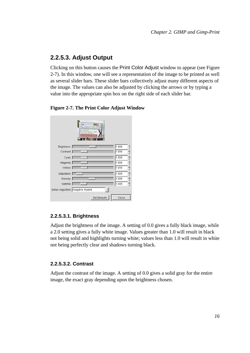#### **2.2.5.3. Adjust Output**

Clicking on this button causes the Print Color Adjust window to appear (see [Figure](#page-23-3) [2-7](#page-23-3)). In this window, one will see a representation of the image to be printed as well as several slider bars. These slider bars collectively adjust many different aspects of the image. The values can also be adjusted by clicking the arrows or by typing a value into the appropriate spin box on the right side of each slider bar.

#### <span id="page-23-3"></span>**Figure 2-7. The Print Color Adjust Window**

| Chelmsford Middle<br>Chipping Ongar A128<br>Brentwood<br>Kelvedon Hatch A 128<br>Industrial Estates<br>Secret Nuclear Bunker |       |                      |
|------------------------------------------------------------------------------------------------------------------------------|-------|----------------------|
| Brightness: [                                                                                                                | 1.000 | ⇒                    |
| Contrast:                                                                                                                    | 1.000 | ⇒                    |
| Cyan:                                                                                                                        | 1.000 | ⇒                    |
| Magenta:                                                                                                                     | 1.000 | $\overrightarrow{ }$ |
| Yellow:                                                                                                                      | 1.000 | ⊰                    |
| Saturation:                                                                                                                  | 1.000 | $\overrightarrow{ }$ |
| Density:                                                                                                                     | 1.000 | $\overrightarrow{ }$ |
| Gamma:                                                                                                                       | 1.000 | ⇒                    |
| Dither Algorithm: Adaptive Hybrid                                                                                            |       |                      |
| Set Defaults                                                                                                                 | Close |                      |

#### <span id="page-23-0"></span>**2.2.5.3.1. Brightness**

Adjust the brightness of the image. A setting of 0.0 gives a fully black image, while a 2.0 setting gives a fully white image. Values greater than 1.0 will result in black not being solid and highlights turning white; values less than 1.0 will result in white not being perfectly clear and shadows turning black.

#### <span id="page-23-1"></span>**2.2.5.3.2. Contrast**

<span id="page-23-2"></span>Adjust the contrast of the image. A setting of 0.0 gives a solid gray for the entire image, the exact gray depending upon the brightness chosen.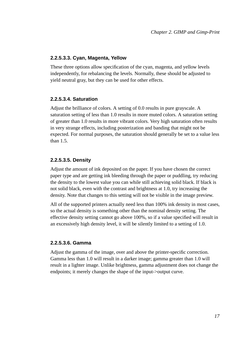#### **2.2.5.3.3. Cyan, Magenta, Yellow**

These three options allow specification of the cyan, magenta, and yellow levels independently, for rebalancing the levels. Normally, these should be adjusted to yield neutral gray, but they can be used for other effects.

#### <span id="page-24-0"></span>**2.2.5.3.4. Saturation**

Adjust the brilliance of colors. A setting of 0.0 results in pure grayscale. A saturation setting of less than 1.0 results in more muted colors. A saturation setting of greater than 1.0 results in more vibrant colors. Very high saturation often results in very strange effects, including posterization and banding that might not be expected. For normal purposes, the saturation should generally be set to a value less than 1.5.

#### <span id="page-24-1"></span>**2.2.5.3.5. Density**

Adjust the amount of ink deposited on the paper. If you have chosen the correct paper type and are getting ink bleeding through the paper or puddling, try reducing the density to the lowest value you can while still achieving solid black. If black is not solid black, even with the contrast and brightness at 1.0, try increasing the density. Note that changes to this setting will not be visible in the image preview.

All of the supported printers actually need less than 100% ink density in most cases, so the actual density is something other than the nominal density setting. The effective density setting cannot go above 100%, so if a value specified will result in an excessively high density level, it will be silently limited to a setting of 1.0.

#### <span id="page-24-2"></span>**2.2.5.3.6. Gamma**

<span id="page-24-3"></span>Adjust the gamma of the image, over and above the printer-specific correction. Gamma less than 1.0 will result in a darker image; gamma greater than 1.0 will result in a lighter image. Unlike brightness, gamma adjustment does not change the endpoints; it merely changes the shape of the input->output curve.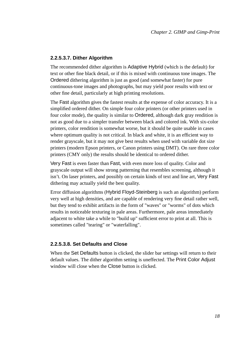#### **2.2.5.3.7. Dither Algorithm**

The recommended dither algorithm is Adaptive Hybrid (which is the default) for text or other fine black detail, or if this is mixed with continuous tone images. The Ordered dithering algorithm is just as good (and somewhat faster) for pure continuous-tone images and photographs, but may yield poor results with text or other fine detail, particularly at high printing resolutions.

The Fast algorithm gives the fastest results at the expense of color accuracy. It is a simplified ordered dither. On simple four color printers (or other printers used in four color mode), the quality is similar to Ordered, although dark gray rendition is not as good due to a simpler transfer between black and colored ink. With six-color printers, color rendition is somewhat worse, but it should be quite usable in cases where optimum quality is not critical. In black and white, it is an efficient way to render grayscale, but it may not give best results when used with variable dot size printers (modern Epson printers, or Canon printers using DMT). On rare three color printers (CMY only) the results should be identical to ordered dither.

Very Fast is even faster than Fast, with even more loss of quality. Color and grayscale output will show strong patterning that resembles screening, although it isn't. On laser printers, and possibly on certain kinds of text and line art, Very Fast dithering may actually yield the best quality.

Error diffusion algorithms (Hybrid Floyd-Steinberg is such an algorithm) perform very well at high densities, and are capable of rendering very fine detail rather well, but they tend to exhibit artifacts in the form of "waves" or "worms" of dots which results in noticeable texturing in pale areas. Furthermore, pale areas immediately adjacent to white take a while to "build up" sufficient error to print at all. This is sometimes called "tearing" or "waterfalling".

#### <span id="page-25-0"></span>**2.2.5.3.8. Set Defaults and Close**

<span id="page-25-1"></span>When the Set Defaults button is clicked, the slider bar settings will return to their default values. The dither algorithm setting is uneffected. The Print Color Adjust window will close when the Close button is clicked.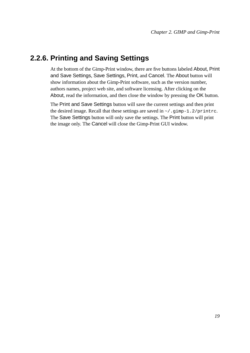### **2.2.6. Printing and Saving Settings**

At the bottom of the Gimp-Print window, there are five buttons labeled About, Print and Save Settings, Save Settings, Print, and Cancel. The About button will show information about the Gimp-Print software, such as the version number, authors names, project web site, and software licensing. After clicking on the About, read the information, and then close the window by pressing the OK button.

The Print and Save Settings button will save the current settings and then print the desired image. Recall that these settings are saved in  $\sim$  / .gimp-1.2/printrc. The Save Settings button will only save the settings. The Print button will print the image only. The Cancel will close the Gimp-Print GUI window.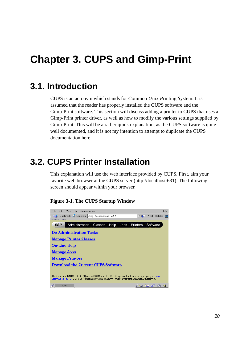# <span id="page-27-0"></span>**Chapter 3. CUPS and Gimp-Print**

### <span id="page-27-1"></span>**3.1. Introduction**

CUPS is an acronym which stands for *C*ommon *U*nix *P*rinting *S*ystem. It is assumed that the reader has properly installed the CUPS software and the Gimp-Print software. This section will discuss adding a printer to CUPS that uses a Gimp-Print printer driver, as well as how to modify the various settings supplied by Gimp-Print. This will be a rather quick explanation, as the CUPS software is quite well documented, and it is not my intention to attempt to duplicate the CUPS documentation here.

## <span id="page-27-2"></span>**3.2. CUPS Printer Installation**

This explanation will use the web interface provided by CUPS. First, aim your favorite web browser at the CUPS server (http://localhost:631). The following screen should appear within your browser.

#### <span id="page-27-3"></span>**Figure 3-1. The CUPS Startup Window**

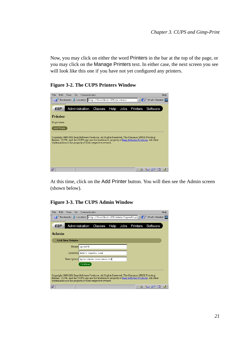Now, you may click on either the word Printers in the bar at the top of the page, or you may click on the Manage Printers text. In either case, the next screen you see will look like this one if you have not yet configured any printers.

#### **Figure 3-2. The CUPS Printers Window**

<span id="page-28-0"></span>

At this time, click on the Add Printer button. You will then see the Admin screen (shown below).

#### <span id="page-28-1"></span>**Figure 3-3. The CUPS Admin Window**

| File<br>Communicator<br>Help<br>Fidit<br>View<br>Gn                                                                                                                                          |
|----------------------------------------------------------------------------------------------------------------------------------------------------------------------------------------------|
| <mark>本"</mark> Bookmarks 20 Location: http://localhost:631/admin/?op=add-pr 7 GJP" What's Related 12                                                                                        |
| <b>NUMBER OF STREET</b>                                                                                                                                                                      |
| <b>ESP</b><br>Administration Classes Help Jobs Printers Software                                                                                                                             |
| Admin                                                                                                                                                                                        |
| <b>Add New Printer</b>                                                                                                                                                                       |
| Name: epson870                                                                                                                                                                               |
| Location: Andy's computer room                                                                                                                                                               |
| Description:<br>Epson Stylus Color Photo 870                                                                                                                                                 |
| Continue                                                                                                                                                                                     |
|                                                                                                                                                                                              |
| Copyright 1993-2001 Easy Software Products, All Rights Reserved. The Common UNIX Printing<br>System, CUPS, and the CUPS logo are the trademark property of Easy Software Products. All other |
| trademarks are the property of their respective owners.                                                                                                                                      |
| ਵਿੰ                                                                                                                                                                                          |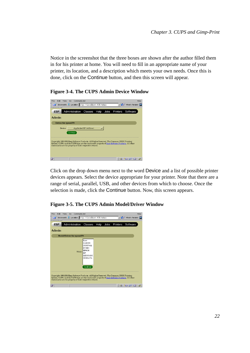Notice in the screenshot that the three boxes are shown after the author filled them in for his printer at home. You will need to fill in an appropriate name of your printer, its location, and a description which meets your own needs. Once this is done, click on the Continue button, and then this screen will appear.

#### <span id="page-29-0"></span>**Figure 3-4. The CUPS Admin Device Window**



Click on the drop down menu next to the word Device and a list of possible printer devices appears. Select the device appropriate for your printer. Note that there are a range of serial, parallel, USB, and other devices from which to choose. Once the selection is made, click the Continue button. Now, this screen appears.

#### **Figure 3-5. The CUPS Admin Model/Driver Window**

<span id="page-29-1"></span>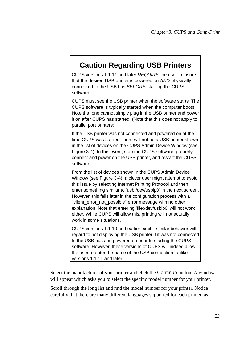### **Caution Regarding USB Printers**

CUPS versions 1.1.11 and later REQUIRE the user to insure that the desired USB printer is powered on AND physically connected to the USB bus BEFORE starting the CUPS software.

CUPS must see the USB printer when the software starts. The CUPS software is typically started when the computer boots. Note that one cannot simply plug in the USB printer and power it on after CUPS has started. (Note that this does not apply to parallel port printers).

If the USB printer was not connected and powered on at the time CUPS was started, there will not be a USB printer shown in the list of devices on the CUPS Admin Device Window (see [Figure 3-4](#page-29-0)). In this event, stop the CUPS software, properly connect and power on the USB printer, and restart the CUPS software.

From the list of devices shown in the CUPS Admin Device Window (see [Figure 3-4\)](#page-29-0), a clever user might attempt to avoid this issue by selecting Internet Printing Protocol and then enter something similar to 'usb:/dev/usblp0' in the next screen. However, this fails later in the configuration process with a "client\_error\_not\_possible" error message with no other explanation. Note that entering 'file:/dev/usblp0' will not work either. While CUPS will allow this, printing will not actually work in some situations.

CUPS versions 1.1.10 and earlier exhibit similar behavior with regard to not displaying the USB printer if it was not connected to the USB bus and powered up prior to starting the CUPS software. However, these versions of CUPS will indeed allow the user to enter the name of the USB connection, unlike versions 1.1.11 and later.

Select the manufacturer of your printer and click the Continue button. A window will appear which asks you to select the specific model number for your printer.

Scroll through the long list and find the model number for your printer. Notice carefully that there are many different languages supported for each printer, as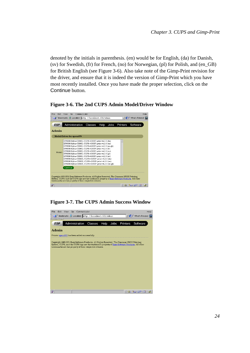denoted by the initials in parenthesis. (en) would be for English, (da) for Danish, (sv) for Swedish, (fr) for French, (no) for Norwegian, (pl) for Polish, and (en\_GB) for British English (see [Figure 3-6\)](#page-31-0). Also take note of the Gimp-Print revision for the driver, and ensure that it is indeed the version of Gimp-Print which you have most recently installed. Once you have made the proper selection, click on the Continue button.

#### <span id="page-31-0"></span>**Figure 3-6. The 2nd CUPS Admin Model/Driver Window**



**Figure 3-7. The CUPS Admin Success Window**

<span id="page-31-1"></span>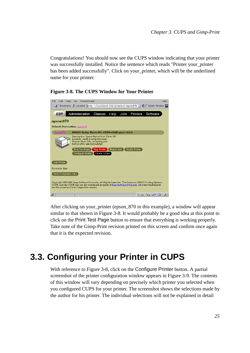Congratulations! You should now see the CUPS window indicating that your printer was successfully installed. Notice the sentence which reads "Printer your printer has been added successfully". Click on your\_printer, which will be the underlined name for your printer.

<span id="page-32-1"></span>

**Figure 3-8. The CUPS Window for Your Printer**

After clicking on your\_printer (epson\_870 in this example), a window will appear similar to that shown in [Figure 3-8](#page-32-1). It would probably be a good idea at this point to click on the Print Test Page button to ensure that everything is working properly. Take note of the Gimp-Print revision printed on this screen and confirm once again that it is the expected revision.

## <span id="page-32-0"></span>**3.3. Configuring your Printer in CUPS**

With reference to [Figure 3-8,](#page-32-1) click on the Configure Printer button. A partial screenshot of the printer configuration window appears in [Figure 3-9](#page-33-1). The contents of this window will vary depending on precisely which printer you selected when you configured CUPS for your printer. The screenshot shows the selections made by the author for his printer. The individual selections will not be explained in detail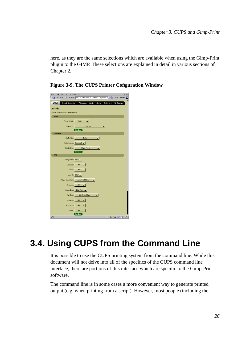here, as they are the same selections which are available when using the Gimp-Print plugin to the GIMP. These selections are explained in detail in various sections of [Chapter 2](#page-8-0).

# <span id="page-33-1"></span>**Figure 3-9. The CUPS Printer Cofiguration Window**

| ние вои<br>ATRA ON COMMUNICATOR      | Help                                                                     |
|--------------------------------------|--------------------------------------------------------------------------|
|                                      | Cal What's Related Microsoft Deterministic Microsoft (2017) Mark Related |
| <b>ESP</b><br>Administration         | Classes<br>Software<br>Help<br>Jobs<br>Printers                          |
| Admin                                |                                                                          |
|                                      |                                                                          |
| Choose default options for epson870. |                                                                          |
| Extra                                |                                                                          |
| Output Mode:                         | Color<br>ш                                                               |
| Resolution:                          | 360 DPI<br>ᄆ                                                             |
|                                      | Continue                                                                 |
| General                              |                                                                          |
| Media Size:                          | Letter<br>$\blacksquare$                                                 |
| Media Source: Standard               |                                                                          |
|                                      |                                                                          |
| Media Type:                          | Plain Paper<br>F<br>Continue                                             |
| <b>STP</b>                           |                                                                          |
| Brightness: $1.000$ $\equiv$         |                                                                          |
|                                      |                                                                          |
| Contrast:                            | 1.000<br>o.                                                              |
| Cyan:                                | 1.000<br>m.                                                              |
|                                      | Density: 1.000 =                                                         |
| Dither Algorithm:                    | Adaptive Hybrid<br>m.                                                    |
|                                      |                                                                          |
| Gamma:                               | 1.000<br>o,                                                              |
| Image Type:                          | Line Art<br>H                                                            |
| Ink Type:                            | Six Color Photo<br>o.                                                    |
| Magenta:                             | 1.000                                                                    |
|                                      | ı                                                                        |
| Saturation:                          | 1.000<br>ш                                                               |
| Yellow:                              | 1.000<br>Ξ                                                               |
|                                      | Continue                                                                 |
| ď                                    | 目滋<br><b>AB 02 FA</b><br>Ž.                                              |

## <span id="page-33-0"></span>**3.4. Using CUPS from the Command Line**

It is possible to use the CUPS printing system from the command line. While this document will not delve into all of the specifics of the CUPS command line interface, there are portions of this interface which are specific to the Gimp-Print software.

The command line is in some cases a more convenient way to generate printed output (e.g. when printing from a script). However, most people (including the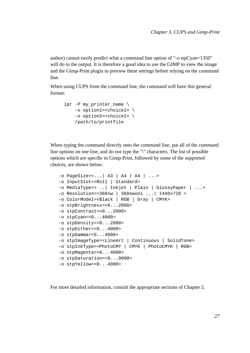author) cannot easily predict what a command line option of "-o stpCyan=1350" will do to the output. It is therefore a good idea to use the GIMP to view the image and the Gimp-Print plugin to preview these settings before relying on the command line.

When using CUPS from the command line, the command will have this general format:

```
lpr -P my_printer_name \
   -o option1=<choice1> \
   -o option2=<choice2> \
    /path/to/printfile
```
When typing the command directly onto the command line, put all of the command line options on one line, and do not type the "\" characters. The list of possible options which are specific to Gimp-Print, followed by some of the supported choices, are shown below:

```
-o PageSize=<...| A3 | A4 | A4 | ...>
-o InputSlot=<Roll | Standard>
-o MediaType=< ..| Inkjet | Plain | GlossyPaper | ...>
-o Resolution=<360sw | 360swuni ...| 1440x720 >
-o ColorModel=<Black | RGB | Gray | CMYK>
-o stpBrightness=<0...2000>
-o stpContrast=<0...2000>
-o stpCyan=<0...4000>
-o stpDensity=<0...2000>
-o stpDither=<0...4000>
-o stpGamma=<0...4000>
-o stpImageType=<LineArt | Continuous | SolidTone>
-o stpInkType=<PhotoCMY | CMYK | PhotoCMYK | RGB>
-o stpMagenta=<0...4000>
-o stpSaturation=<0...9000>
-o stpYellow=<0...4000>
```
For more detailed information, consult the appropriate sections of [Chapter 2.](#page-8-0)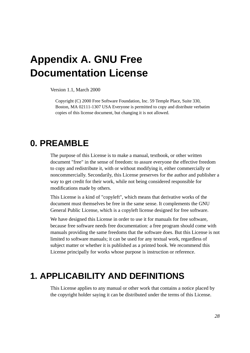# <span id="page-35-0"></span>**Appendix A. GNU Free Documentation License**

Version 1.1, March 2000

Copyright (C) 2000 Free Software Foundation, Inc. 59 Temple Place, Suite 330, Boston, MA 02111-1307 USA Everyone is permitted to copy and distribute verbatim copies of this license document, but changing it is not allowed.

### <span id="page-35-1"></span>**0. PREAMBLE**

The purpose of this License is to make a manual, textbook, or other written document "free" in the sense of freedom: to assure everyone the effective freedom to copy and redistribute it, with or without modifying it, either commercially or noncommercially. Secondarily, this License preserves for the author and publisher a way to get credit for their work, while not being considered responsible for modifications made by others.

This License is a kind of "copyleft", which means that derivative works of the document must themselves be free in the same sense. It complements the GNU General Public License, which is a copyleft license designed for free software.

We have designed this License in order to use it for manuals for free software, because free software needs free documentation: a free program should come with manuals providing the same freedoms that the software does. But this License is not limited to software manuals; it can be used for any textual work, regardless of subject matter or whether it is published as a printed book. We recommend this License principally for works whose purpose is instruction or reference.

### <span id="page-35-2"></span>**1. APPLICABILITY AND DEFINITIONS**

This License applies to any manual or other work that contains a notice placed by the copyright holder saying it can be distributed under the terms of this License.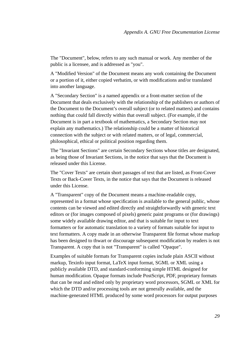The "Document", below, refers to any such manual or work. Any member of the public is a licensee, and is addressed as "you".

A "Modified Version" of the Document means any work containing the Document or a portion of it, either copied verbatim, or with modifications and/or translated into another language.

A "Secondary Section" is a named appendix or a front-matter section of the Document that deals exclusively with the relationship of the publishers or authors of the Document to the Document's overall subject (or to related matters) and contains nothing that could fall directly within that overall subject. (For example, if the Document is in part a textbook of mathematics, a Secondary Section may not explain any mathematics.) The relationship could be a matter of historical connection with the subject or with related matters, or of legal, commercial, philosophical, ethical or political position regarding them.

The "Invariant Sections" are certain Secondary Sections whose titles are designated, as being those of Invariant Sections, in the notice that says that the Document is released under this License.

The "Cover Texts" are certain short passages of text that are listed, as Front-Cover Texts or Back-Cover Texts, in the notice that says that the Document is released under this License.

A "Transparent" copy of the Document means a machine-readable copy, represented in a format whose specification is available to the general public, whose contents can be viewed and edited directly and straightforwardly with generic text editors or (for images composed of pixels) generic paint programs or (for drawings) some widely available drawing editor, and that is suitable for input to text formatters or for automatic translation to a variety of formats suitable for input to text formatters. A copy made in an otherwise Transparent file format whose markup has been designed to thwart or discourage subsequent modification by readers is not Transparent. A copy that is not "Transparent" is called "Opaque".

Examples of suitable formats for Transparent copies include plain ASCII without markup, Texinfo input format, LaTeX input format, SGML or XML using a publicly available DTD, and standard-conforming simple HTML designed for human modification. Opaque formats include PostScript, PDF, proprietary formats that can be read and edited only by proprietary word processors, SGML or XML for which the DTD and/or processing tools are not generally available, and the machine-generated HTML produced by some word processors for output purposes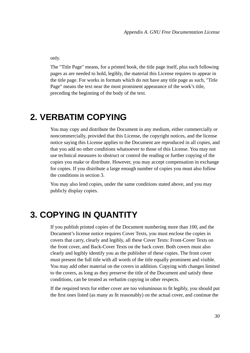only.

The "Title Page" means, for a printed book, the title page itself, plus such following pages as are needed to hold, legibly, the material this License requires to appear in the title page. For works in formats which do not have any title page as such, "Title Page" means the text near the most prominent appearance of the work's title, preceding the beginning of the body of the text.

## <span id="page-37-0"></span>**2. VERBATIM COPYING**

You may copy and distribute the Document in any medium, either commercially or noncommercially, provided that this License, the copyright notices, and the license notice saying this License applies to the Document are reproduced in all copies, and that you add no other conditions whatsoever to those of this License. You may not use technical measures to obstruct or control the reading or further copying of the copies you make or distribute. However, you may accept compensation in exchange for copies. If you distribute a large enough number of copies you must also follow the conditions in section 3.

You may also lend copies, under the same conditions stated above, and you may publicly display copies.

### <span id="page-37-1"></span>**3. COPYING IN QUANTITY**

If you publish printed copies of the Document numbering more than 100, and the Document's license notice requires Cover Texts, you must enclose the copies in covers that carry, clearly and legibly, all these Cover Texts: Front-Cover Texts on the front cover, and Back-Cover Texts on the back cover. Both covers must also clearly and legibly identify you as the publisher of these copies. The front cover must present the full title with all words of the title equally prominent and visible. You may add other material on the covers in addition. Copying with changes limited to the covers, as long as they preserve the title of the Document and satisfy these conditions, can be treated as verbatim copying in other respects.

If the required texts for either cover are too voluminous to fit legibly, you should put the first ones listed (as many as fit reasonably) on the actual cover, and continue the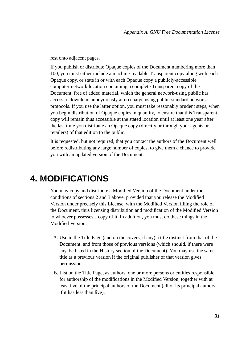rest onto adjacent pages.

If you publish or distribute Opaque copies of the Document numbering more than 100, you must either include a machine-readable Transparent copy along with each Opaque copy, or state in or with each Opaque copy a publicly-accessible computer-network location containing a complete Transparent copy of the Document, free of added material, which the general network-using public has access to download anonymously at no charge using public-standard network protocols. If you use the latter option, you must take reasonably prudent steps, when you begin distribution of Opaque copies in quantity, to ensure that this Transparent copy will remain thus accessible at the stated location until at least one year after the last time you distribute an Opaque copy (directly or through your agents or retailers) of that edition to the public.

It is requested, but not required, that you contact the authors of the Document well before redistributing any large number of copies, to give them a chance to provide you with an updated version of the Document.

## <span id="page-38-0"></span>**4. MODIFICATIONS**

You may copy and distribute a Modified Version of the Document under the conditions of sections 2 and 3 above, provided that you release the Modified Version under precisely this License, with the Modified Version filling the role of the Document, thus licensing distribution and modification of the Modified Version to whoever possesses a copy of it. In addition, you must do these things in the Modified Version:

- A. Use in the Title Page (and on the covers, if any) a title distinct from that of the Document, and from those of previous versions (which should, if there were any, be listed in the History section of the Document). You may use the same title as a previous version if the original publisher of that version gives permission.
- B. List on the Title Page, as authors, one or more persons or entities responsible for authorship of the modifications in the Modified Version, together with at least five of the principal authors of the Document (all of its principal authors, if it has less than five).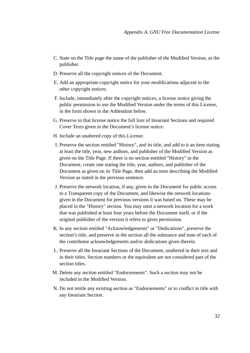- C. State on the Title page the name of the publisher of the Modified Version, as the publisher.
- D. Preserve all the copyright notices of the Document.
- E. Add an appropriate copyright notice for your modifications adjacent to the other copyright notices.
- F. Include, immediately after the copyright notices, a license notice giving the public permission to use the Modified Version under the terms of this License, in the form shown in the Addendum below.
- G. Preserve in that license notice the full lists of Invariant Sections and required Cover Texts given in the Document's license notice.
- H. Include an unaltered copy of this License.
- I. Preserve the section entitled "History", and its title, and add to it an item stating at least the title, year, new authors, and publisher of the Modified Version as given on the Title Page. If there is no section entitled "History" in the Document, create one stating the title, year, authors, and publisher of the Document as given on its Title Page, then add an item describing the Modified Version as stated in the previous sentence.
- J. Preserve the network location, if any, given in the Document for public access to a Transparent copy of the Document, and likewise the network locations given in the Document for previous versions it was based on. These may be placed in the "History" section. You may omit a network location for a work that was published at least four years before the Document itself, or if the original publisher of the version it refers to gives permission.
- K. In any section entitled "Acknowledgements" or "Dedications", preserve the section's title, and preserve in the section all the substance and tone of each of the contributor acknowledgements and/or dedications given therein.
- L. Preserve all the Invariant Sections of the Document, unaltered in their text and in their titles. Section numbers or the equivalent are not considered part of the section titles.
- M. Delete any section entitled "Endorsements". Such a section may not be included in the Modified Version.
- N. Do not retitle any existing section as "Endorsements" or to conflict in title with any Invariant Section.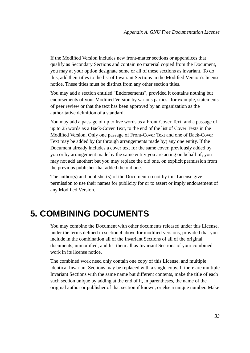If the Modified Version includes new front-matter sections or appendices that qualify as Secondary Sections and contain no material copied from the Document, you may at your option designate some or all of these sections as invariant. To do this, add their titles to the list of Invariant Sections in the Modified Version's license notice. These titles must be distinct from any other section titles.

You may add a section entitled "Endorsements", provided it contains nothing but endorsements of your Modified Version by various parties--for example, statements of peer review or that the text has been approved by an organization as the authoritative definition of a standard.

You may add a passage of up to five words as a Front-Cover Text, and a passage of up to 25 words as a Back-Cover Text, to the end of the list of Cover Texts in the Modified Version. Only one passage of Front-Cover Text and one of Back-Cover Text may be added by (or through arrangements made by) any one entity. If the Document already includes a cover text for the same cover, previously added by you or by arrangement made by the same entity you are acting on behalf of, you may not add another; but you may replace the old one, on explicit permission from the previous publisher that added the old one.

The author(s) and publisher(s) of the Document do not by this License give permission to use their names for publicity for or to assert or imply endorsement of any Modified Version.

### <span id="page-40-0"></span>**5. COMBINING DOCUMENTS**

You may combine the Document with other documents released under this License, under the terms defined in section 4 above for modified versions, provided that you include in the combination all of the Invariant Sections of all of the original documents, unmodified, and list them all as Invariant Sections of your combined work in its license notice.

The combined work need only contain one copy of this License, and multiple identical Invariant Sections may be replaced with a single copy. If there are multiple Invariant Sections with the same name but different contents, make the title of each such section unique by adding at the end of it, in parentheses, the name of the original author or publisher of that section if known, or else a unique number. Make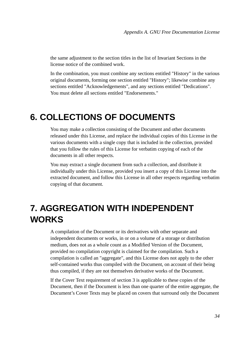the same adjustment to the section titles in the list of Invariant Sections in the license notice of the combined work.

In the combination, you must combine any sections entitled "History" in the various original documents, forming one section entitled "History"; likewise combine any sections entitled "Acknowledgements", and any sections entitled "Dedications". You must delete all sections entitled "Endorsements."

### <span id="page-41-0"></span>**6. COLLECTIONS OF DOCUMENTS**

You may make a collection consisting of the Document and other documents released under this License, and replace the individual copies of this License in the various documents with a single copy that is included in the collection, provided that you follow the rules of this License for verbatim copying of each of the documents in all other respects.

You may extract a single document from such a collection, and distribute it individually under this License, provided you insert a copy of this License into the extracted document, and follow this License in all other respects regarding verbatim copying of that document.

# <span id="page-41-1"></span>**7. AGGREGATION WITH INDEPENDENT WORKS**

A compilation of the Document or its derivatives with other separate and independent documents or works, in or on a volume of a storage or distribution medium, does not as a whole count as a Modified Version of the Document, provided no compilation copyright is claimed for the compilation. Such a compilation is called an "aggregate", and this License does not apply to the other self-contained works thus compiled with the Document, on account of their being thus compiled, if they are not themselves derivative works of the Document.

If the Cover Text requirement of section 3 is applicable to these copies of the Document, then if the Document is less than one quarter of the entire aggregate, the Document's Cover Texts may be placed on covers that surround only the Document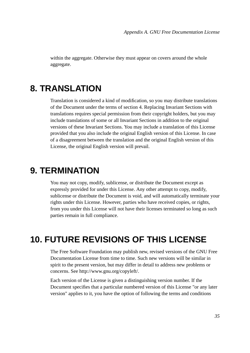within the aggregate. Otherwise they must appear on covers around the whole aggregate.

### <span id="page-42-0"></span>**8. TRANSLATION**

Translation is considered a kind of modification, so you may distribute translations of the Document under the terms of section 4. Replacing Invariant Sections with translations requires special permission from their copyright holders, but you may include translations of some or all Invariant Sections in addition to the original versions of these Invariant Sections. You may include a translation of this License provided that you also include the original English version of this License. In case of a disagreement between the translation and the original English version of this License, the original English version will prevail.

### <span id="page-42-1"></span>**9. TERMINATION**

You may not copy, modify, sublicense, or distribute the Document except as expressly provided for under this License. Any other attempt to copy, modify, sublicense or distribute the Document is void, and will automatically terminate your rights under this License. However, parties who have received copies, or rights, from you under this License will not have their licenses terminated so long as such parties remain in full compliance.

### <span id="page-42-2"></span>**10. FUTURE REVISIONS OF THIS LICENSE**

The Free Software Foundation may publish new, revised versions of the GNU Free Documentation License from time to time. Such new versions will be similar in spirit to the present version, but may differ in detail to address new problems or concerns. See http://www.gnu.org/copyleft/.

Each version of the License is given a distinguishing version number. If the Document specifies that a particular numbered version of this License "or any later version" applies to it, you have the option of following the terms and conditions